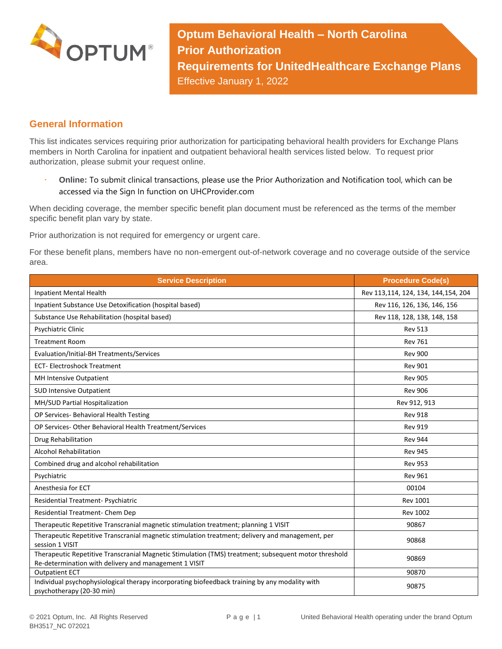

**Optum Behavioral Health – North Carolina Prior Authorization Requirements for UnitedHealthcare Exchange Plans** Effective January 1, 2022

## **General Information**

This list indicates services requiring prior authorization for participating behavioral health providers for Exchange Plans members in North Carolina for inpatient and outpatient behavioral health services listed below. To request prior authorization, please submit your request online.

 **Online:** To submit clinical transactions, please use the Prior Authorization and Notification tool, which can be accessed via the Sign In function on UHCProvider.com

When deciding coverage, the member specific benefit plan document must be referenced as the terms of the member specific benefit plan vary by state.

Prior authorization is not required for emergency or urgent care.

For these benefit plans, members have no non-emergent out-of-network coverage and no coverage outside of the service area.

| <b>Service Description</b>                                                                                                                                    | <b>Procedure Code(s)</b>            |
|---------------------------------------------------------------------------------------------------------------------------------------------------------------|-------------------------------------|
| Inpatient Mental Health                                                                                                                                       | Rev 113,114, 124, 134, 144,154, 204 |
| Inpatient Substance Use Detoxification (hospital based)                                                                                                       | Rev 116, 126, 136, 146, 156         |
| Substance Use Rehabilitation (hospital based)                                                                                                                 | Rev 118, 128, 138, 148, 158         |
| Psychiatric Clinic                                                                                                                                            | <b>Rev 513</b>                      |
| <b>Treatment Room</b>                                                                                                                                         | <b>Rev 761</b>                      |
| Evaluation/Initial-BH Treatments/Services                                                                                                                     | <b>Rev 900</b>                      |
| <b>ECT-Electroshock Treatment</b>                                                                                                                             | <b>Rev 901</b>                      |
| MH Intensive Outpatient                                                                                                                                       | <b>Rev 905</b>                      |
| <b>SUD Intensive Outpatient</b>                                                                                                                               | <b>Rev 906</b>                      |
| MH/SUD Partial Hospitalization                                                                                                                                | Rev 912, 913                        |
| OP Services- Behavioral Health Testing                                                                                                                        | <b>Rev 918</b>                      |
| OP Services- Other Behavioral Health Treatment/Services                                                                                                       | <b>Rev 919</b>                      |
| Drug Rehabilitation                                                                                                                                           | <b>Rev 944</b>                      |
| <b>Alcohol Rehabilitation</b>                                                                                                                                 | <b>Rev 945</b>                      |
| Combined drug and alcohol rehabilitation                                                                                                                      | <b>Rev 953</b>                      |
| Psychiatric                                                                                                                                                   | <b>Rev 961</b>                      |
| Anesthesia for ECT                                                                                                                                            | 00104                               |
| Residential Treatment- Psychiatric                                                                                                                            | <b>Rev 1001</b>                     |
| Residential Treatment- Chem Dep                                                                                                                               | <b>Rev 1002</b>                     |
| Therapeutic Repetitive Transcranial magnetic stimulation treatment; planning 1 VISIT                                                                          | 90867                               |
| Therapeutic Repetitive Transcranial magnetic stimulation treatment; delivery and management, per<br>session 1 VISIT                                           | 90868                               |
| Therapeutic Repetitive Transcranial Magnetic Stimulation (TMS) treatment; subsequent motor threshold<br>Re-determination with delivery and management 1 VISIT | 90869                               |
| <b>Outpatient ECT</b>                                                                                                                                         | 90870                               |
| Individual psychophysiological therapy incorporating biofeedback training by any modality with<br>psychotherapy (20-30 min)                                   | 90875                               |